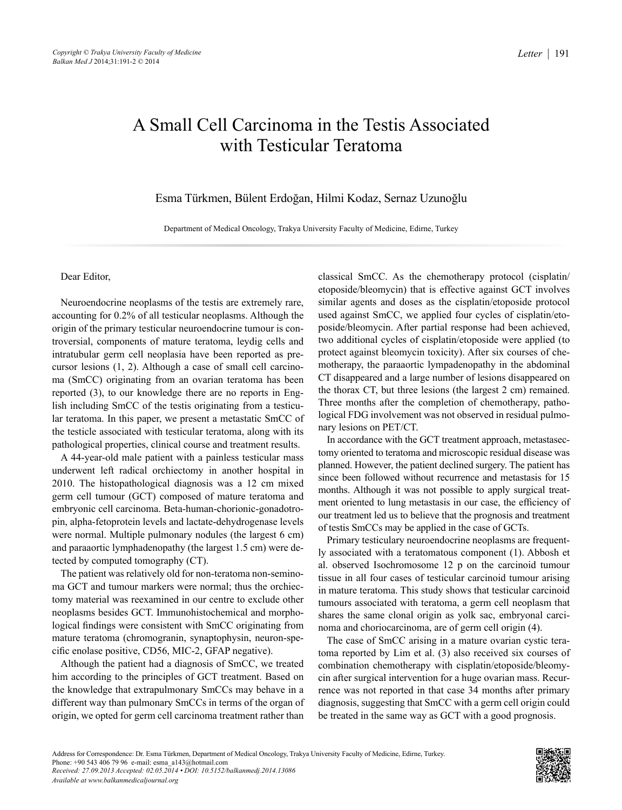## A Small Cell Carcinoma in the Testis Associated with Testicular Teratoma

Esma Türkmen, Bülent Erdoğan, Hilmi Kodaz, Sernaz Uzunoğlu

Department of Medical Oncology, Trakya University Faculty of Medicine, Edirne, Turkey

## Dear Editor,

Neuroendocrine neoplasms of the testis are extremely rare, accounting for 0.2% of all testicular neoplasms. Although the origin of the primary testicular neuroendocrine tumour is controversial, components of mature teratoma, leydig cells and intratubular germ cell neoplasia have been reported as precursor lesions (1, 2). Although a case of small cell carcinoma (SmCC) originating from an ovarian teratoma has been reported (3), to our knowledge there are no reports in English including SmCC of the testis originating from a testicular teratoma. In this paper, we present a metastatic SmCC of the testicle associated with testicular teratoma, along with its pathological properties, clinical course and treatment results.

A 44-year-old male patient with a painless testicular mass underwent left radical orchiectomy in another hospital in 2010. The histopathological diagnosis was a 12 cm mixed germ cell tumour (GCT) composed of mature teratoma and embryonic cell carcinoma. Beta-human-chorionic-gonadotropin, alpha-fetoprotein levels and lactate-dehydrogenase levels were normal. Multiple pulmonary nodules (the largest 6 cm) and paraaortic lymphadenopathy (the largest 1.5 cm) were detected by computed tomography (CT).

The patient was relatively old for non-teratoma non-seminoma GCT and tumour markers were normal; thus the orchiectomy material was reexamined in our centre to exclude other neoplasms besides GCT. Immunohistochemical and morphological findings were consistent with SmCC originating from mature teratoma (chromogranin, synaptophysin, neuron-specific enolase positive, CD56, MIC-2, GFAP negative).

Although the patient had a diagnosis of SmCC, we treated him according to the principles of GCT treatment. Based on the knowledge that extrapulmonary SmCCs may behave in a different way than pulmonary SmCCs in terms of the organ of origin, we opted for germ cell carcinoma treatment rather than classical SmCC. As the chemotherapy protocol (cisplatin/ etoposide/bleomycin) that is effective against GCT involves similar agents and doses as the cisplatin/etoposide protocol used against SmCC, we applied four cycles of cisplatin/etoposide/bleomycin. After partial response had been achieved, two additional cycles of cisplatin/etoposide were applied (to protect against bleomycin toxicity). After six courses of chemotherapy, the paraaortic lympadenopathy in the abdominal CT disappeared and a large number of lesions disappeared on the thorax CT, but three lesions (the largest 2 cm) remained. Three months after the completion of chemotherapy, pathological FDG involvement was not observed in residual pulmonary lesions on PET/CT.

In accordance with the GCT treatment approach, metastasectomy oriented to teratoma and microscopic residual disease was planned. However, the patient declined surgery. The patient has since been followed without recurrence and metastasis for 15 months. Although it was not possible to apply surgical treatment oriented to lung metastasis in our case, the efficiency of our treatment led us to believe that the prognosis and treatment of testis SmCCs may be applied in the case of GCTs.

Primary testiculary neuroendocrine neoplasms are frequently associated with a teratomatous component (1). Abbosh et al. observed Isochromosome 12 p on the carcinoid tumour tissue in all four cases of testicular carcinoid tumour arising in mature teratoma. This study shows that testicular carcinoid tumours associated with teratoma, a germ cell neoplasm that shares the same clonal origin as yolk sac, embryonal carcinoma and choriocarcinoma, are of germ cell origin (4).

The case of SmCC arising in a mature ovarian cystic teratoma reported by Lim et al. (3) also received six courses of combination chemotherapy with cisplatin/etoposide/bleomycin after surgical intervention for a huge ovarian mass. Recurrence was not reported in that case 34 months after primary diagnosis, suggesting that SmCC with a germ cell origin could be treated in the same way as GCT with a good prognosis.